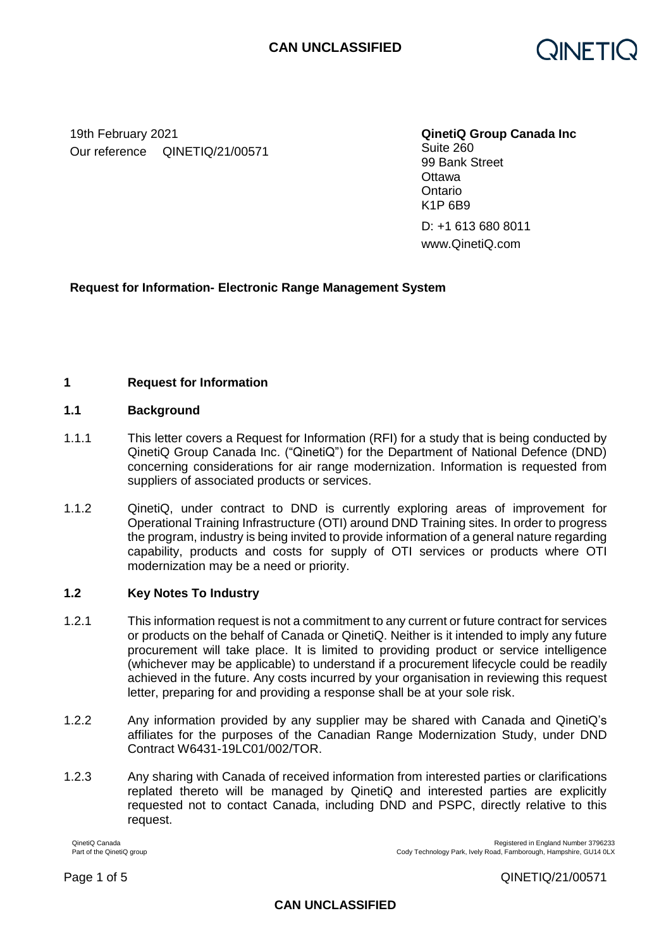

19th February 2021 **QinetiQ Group Canada Inc** Our reference QINETIQ/21/00571

Suite 260

99 Bank Street **Ottawa Ontario** K1P 6B9

D: +1 613 680 8011 www.QinetiQ.com

# **Request for Information- Electronic Range Management System**

## **1 Request for Information**

#### **1.1 Background**

- 1.1.1 This letter covers a Request for Information (RFI) for a study that is being conducted by QinetiQ Group Canada Inc. ("QinetiQ") for the Department of National Defence (DND) concerning considerations for air range modernization. Information is requested from suppliers of associated products or services.
- 1.1.2 QinetiQ, under contract to DND is currently exploring areas of improvement for Operational Training Infrastructure (OTI) around DND Training sites. In order to progress the program, industry is being invited to provide information of a general nature regarding capability, products and costs for supply of OTI services or products where OTI modernization may be a need or priority.

## **1.2 Key Notes To Industry**

- 1.2.1 This information request is not a commitment to any current or future contract for services or products on the behalf of Canada or QinetiQ. Neither is it intended to imply any future procurement will take place. It is limited to providing product or service intelligence (whichever may be applicable) to understand if a procurement lifecycle could be readily achieved in the future. Any costs incurred by your organisation in reviewing this request letter, preparing for and providing a response shall be at your sole risk.
- 1.2.2 Any information provided by any supplier may be shared with Canada and QinetiQ's affiliates for the purposes of the Canadian Range Modernization Study, under DND Contract W6431-19LC01/002/TOR.
- 1.2.3 Any sharing with Canada of received information from interested parties or clarifications replated thereto will be managed by QinetiQ and interested parties are explicitly requested not to contact Canada, including DND and PSPC, directly relative to this request.

QinetiQ Canada Registered in England Number 3796233<br>Part of the QinetiQ group<br>Part of the QinetiQ group Cody Technology Park, Ively Road, Farnborough, Hampshire, GU14 0LX

Page 1 of 5 QINETIQ/21/00571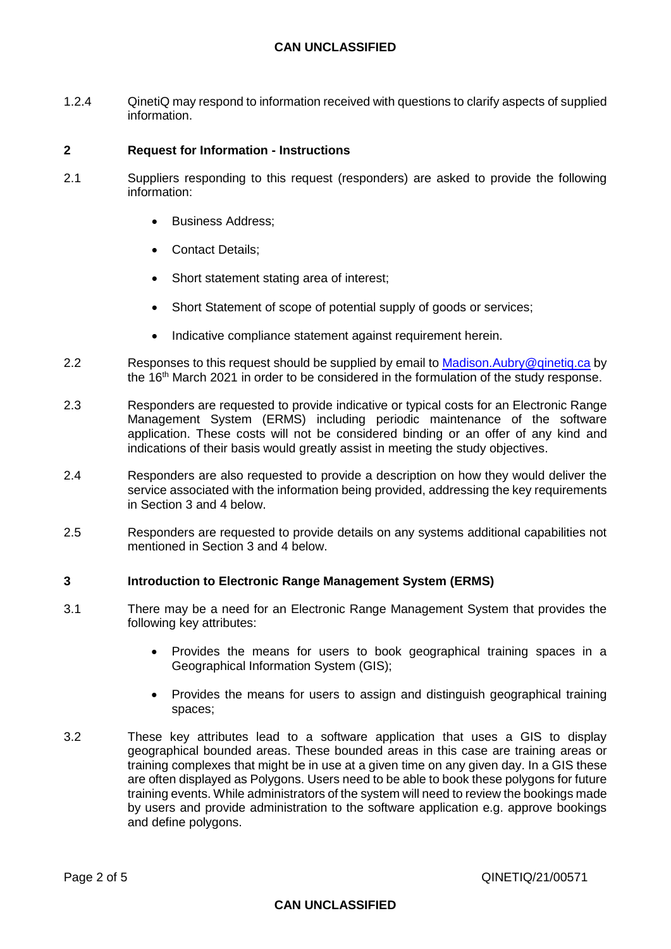## **CAN UNCLASSIFIED**

1.2.4 QinetiQ may respond to information received with questions to clarify aspects of supplied information.

#### **2 Request for Information - Instructions**

- 2.1 Suppliers responding to this request (responders) are asked to provide the following information:
	- Business Address;
	- Contact Details:
	- Short statement stating area of interest;
	- Short Statement of scope of potential supply of goods or services;
	- Indicative compliance statement against requirement herein.
- 2.2 Responses to this request should be supplied by email to Madison. Aubry@qinetiq.ca by the 16<sup>th</sup> March 2021 in order to be considered in the formulation of the study response.
- 2.3 Responders are requested to provide indicative or typical costs for an Electronic Range Management System (ERMS) including periodic maintenance of the software application. These costs will not be considered binding or an offer of any kind and indications of their basis would greatly assist in meeting the study objectives.
- 2.4 Responders are also requested to provide a description on how they would deliver the service associated with the information being provided, addressing the key requirements in Section 3 and 4 below.
- 2.5 Responders are requested to provide details on any systems additional capabilities not mentioned in Section 3 and 4 below.

#### **3 Introduction to Electronic Range Management System (ERMS)**

- 3.1 There may be a need for an Electronic Range Management System that provides the following key attributes:
	- Provides the means for users to book geographical training spaces in a Geographical Information System (GIS);
	- Provides the means for users to assign and distinguish geographical training spaces;
- 3.2 These key attributes lead to a software application that uses a GIS to display geographical bounded areas. These bounded areas in this case are training areas or training complexes that might be in use at a given time on any given day. In a GIS these are often displayed as Polygons. Users need to be able to book these polygons for future training events. While administrators of the system will need to review the bookings made by users and provide administration to the software application e.g. approve bookings and define polygons.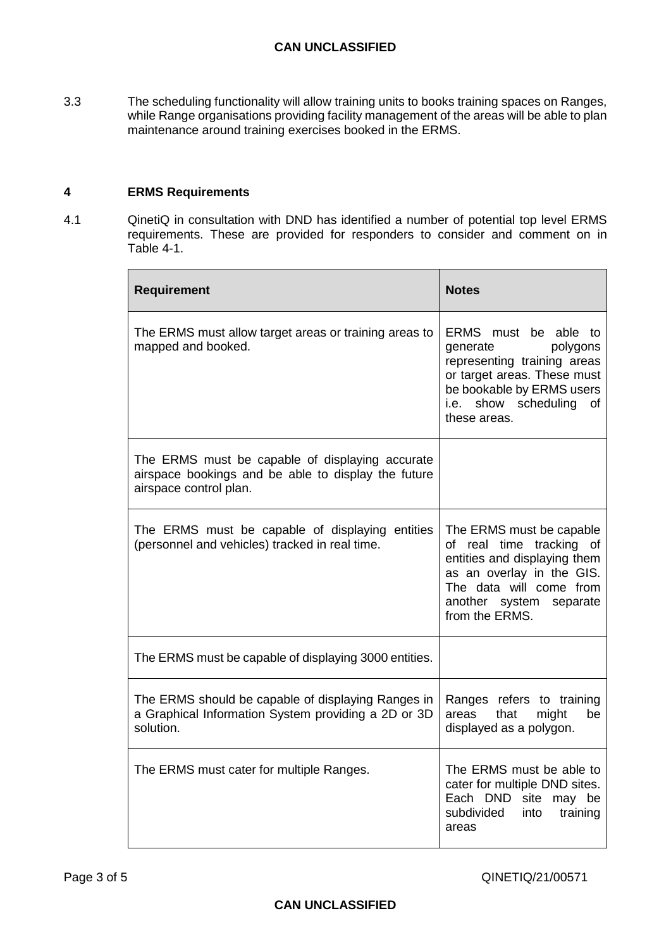3.3 The scheduling functionality will allow training units to books training spaces on Ranges, while Range organisations providing facility management of the areas will be able to plan maintenance around training exercises booked in the ERMS.

# **4 ERMS Requirements**

4.1 QinetiQ in consultation with DND has identified a number of potential top level ERMS requirements. These are provided for responders to consider and comment on in [Table](#page-3-0) 4-1.

| <b>Requirement</b>                                                                                                               | <b>Notes</b>                                                                                                                                                                                 |
|----------------------------------------------------------------------------------------------------------------------------------|----------------------------------------------------------------------------------------------------------------------------------------------------------------------------------------------|
| The ERMS must allow target areas or training areas to<br>mapped and booked.                                                      | ERMS must be able to<br>polygons<br>generate<br>representing training areas<br>or target areas. These must<br>be bookable by ERMS users<br>show scheduling<br>i.e.<br>οf<br>these areas.     |
| The ERMS must be capable of displaying accurate<br>airspace bookings and be able to display the future<br>airspace control plan. |                                                                                                                                                                                              |
| The ERMS must be capable of displaying entities<br>(personnel and vehicles) tracked in real time.                                | The ERMS must be capable<br>of real time tracking of<br>entities and displaying them<br>as an overlay in the GIS.<br>The data will come from<br>another system<br>separate<br>from the ERMS. |
| The ERMS must be capable of displaying 3000 entities.                                                                            |                                                                                                                                                                                              |
| The ERMS should be capable of displaying Ranges in<br>a Graphical Information System providing a 2D or 3D<br>solution.           | Ranges refers to training<br>might<br>areas<br>that<br>be<br>displayed as a polygon.                                                                                                         |
| The ERMS must cater for multiple Ranges.                                                                                         | The ERMS must be able to<br>cater for multiple DND sites.<br>Each DND site may be<br>subdivided<br>training<br>into<br>areas                                                                 |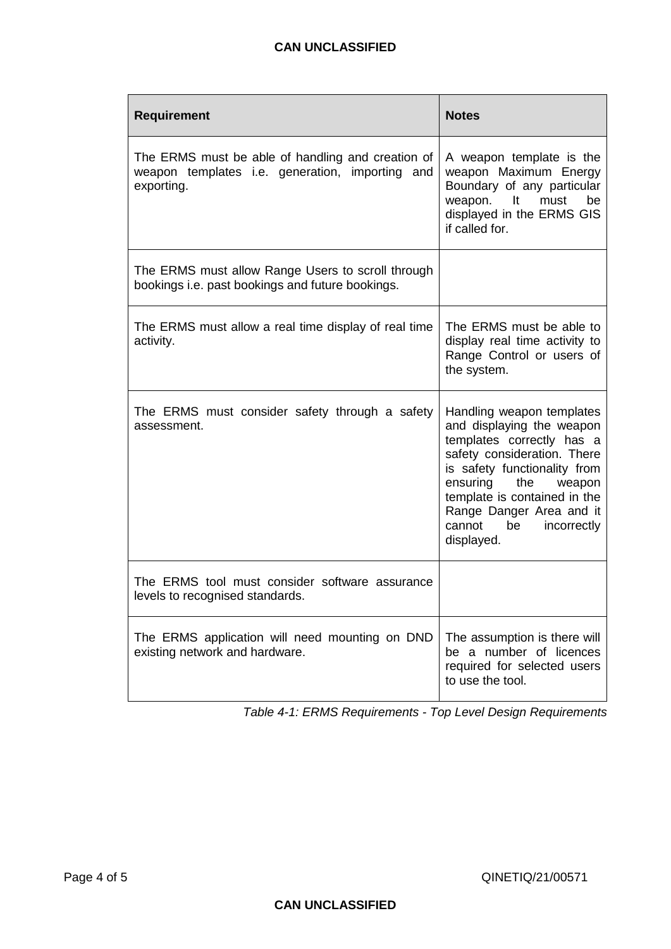| <b>Requirement</b>                                                                                                 | <b>Notes</b>                                                                                                                                                                                                                                                                             |
|--------------------------------------------------------------------------------------------------------------------|------------------------------------------------------------------------------------------------------------------------------------------------------------------------------------------------------------------------------------------------------------------------------------------|
| The ERMS must be able of handling and creation of<br>weapon templates i.e. generation, importing and<br>exporting. | A weapon template is the<br>weapon Maximum Energy<br>Boundary of any particular<br>weapon. It must<br>be<br>displayed in the ERMS GIS<br>if called for.                                                                                                                                  |
| The ERMS must allow Range Users to scroll through<br>bookings i.e. past bookings and future bookings.              |                                                                                                                                                                                                                                                                                          |
| The ERMS must allow a real time display of real time<br>activity.                                                  | The ERMS must be able to<br>display real time activity to<br>Range Control or users of<br>the system.                                                                                                                                                                                    |
| The ERMS must consider safety through a safety<br>assessment.                                                      | Handling weapon templates<br>and displaying the weapon<br>templates correctly has a<br>safety consideration. There<br>is safety functionality from<br>ensuring<br>the<br>weapon<br>template is contained in the<br>Range Danger Area and it<br>be<br>cannot<br>incorrectly<br>displayed. |
| The ERMS tool must consider software assurance<br>levels to recognised standards.                                  |                                                                                                                                                                                                                                                                                          |
| The ERMS application will need mounting on DND<br>existing network and hardware.                                   | The assumption is there will<br>be a number of licences<br>required for selected users<br>to use the tool.                                                                                                                                                                               |

<span id="page-3-0"></span>*Table 4-1: ERMS Requirements - Top Level Design Requirements*